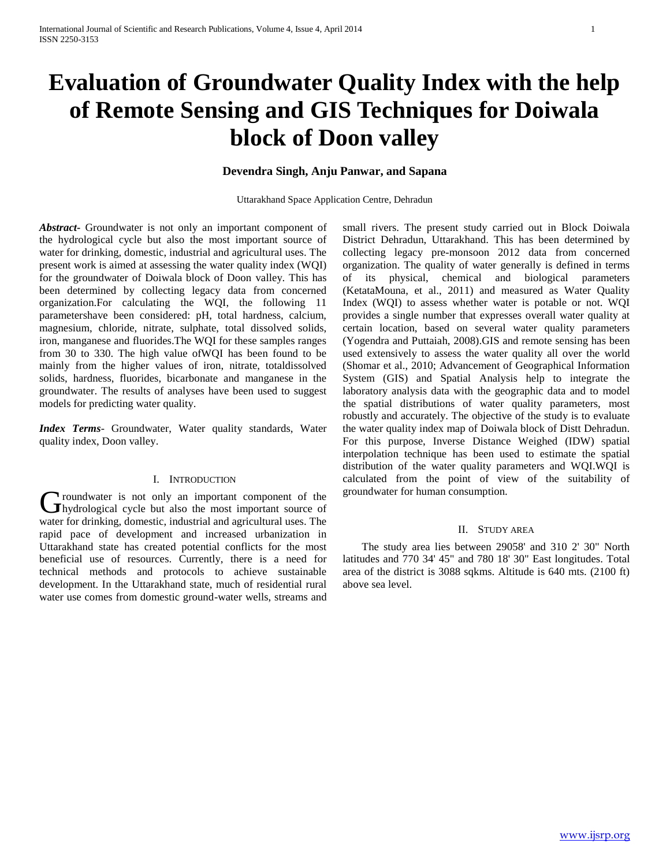# **Evaluation of Groundwater Quality Index with the help of Remote Sensing and GIS Techniques for Doiwala block of Doon valley**

## **Devendra Singh, Anju Panwar, and Sapana**

Uttarakhand Space Application Centre, Dehradun

*Abstract***-** Groundwater is not only an important component of the hydrological cycle but also the most important source of water for drinking, domestic, industrial and agricultural uses. The present work is aimed at assessing the water quality index (WQI) for the groundwater of Doiwala block of Doon valley. This has been determined by collecting legacy data from concerned organization.For calculating the WQI, the following 11 parametershave been considered: pH, total hardness, calcium, magnesium, chloride, nitrate, sulphate, total dissolved solids, iron, manganese and fluorides.The WQI for these samples ranges from 30 to 330. The high value ofWQI has been found to be mainly from the higher values of iron, nitrate, totaldissolved solids, hardness, fluorides, bicarbonate and manganese in the groundwater. The results of analyses have been used to suggest models for predicting water quality.

*Index Terms*- Groundwater, Water quality standards, Water quality index, Doon valley.

#### I. INTRODUCTION

**Troundwater is not only an important component of the** Groundwater is not only an important component of the hydrological cycle but also the most important source of water for drinking, domestic, industrial and agricultural uses. The rapid pace of development and increased urbanization in Uttarakhand state has created potential conflicts for the most beneficial use of resources. Currently, there is a need for technical methods and protocols to achieve sustainable development. In the Uttarakhand state, much of residential rural water use comes from domestic ground-water wells, streams and

small rivers. The present study carried out in Block Doiwala District Dehradun, Uttarakhand. This has been determined by collecting legacy pre-monsoon 2012 data from concerned organization. The quality of water generally is defined in terms of its physical, chemical and biological parameters (KetataMouna, et al., 2011) and measured as Water Quality Index (WQI) to assess whether water is potable or not. WQI provides a single number that expresses overall water quality at certain location, based on several water quality parameters (Yogendra and Puttaiah, 2008).GIS and remote sensing has been used extensively to assess the water quality all over the world (Shomar et al., 2010; Advancement of Geographical Information System (GIS) and Spatial Analysis help to integrate the laboratory analysis data with the geographic data and to model the spatial distributions of water quality parameters, most robustly and accurately. The objective of the study is to evaluate the water quality index map of Doiwala block of Distt Dehradun. For this purpose, Inverse Distance Weighed (IDW) spatial interpolation technique has been used to estimate the spatial distribution of the water quality parameters and WQI.WQI is calculated from the point of view of the suitability of groundwater for human consumption.

## II. STUDY AREA

 The study area lies between 29058' and 310 2' 30" North latitudes and 770 34' 45" and 780 18' 30" East longitudes. Total area of the district is 3088 sqkms. Altitude is 640 mts. (2100 ft) above sea level.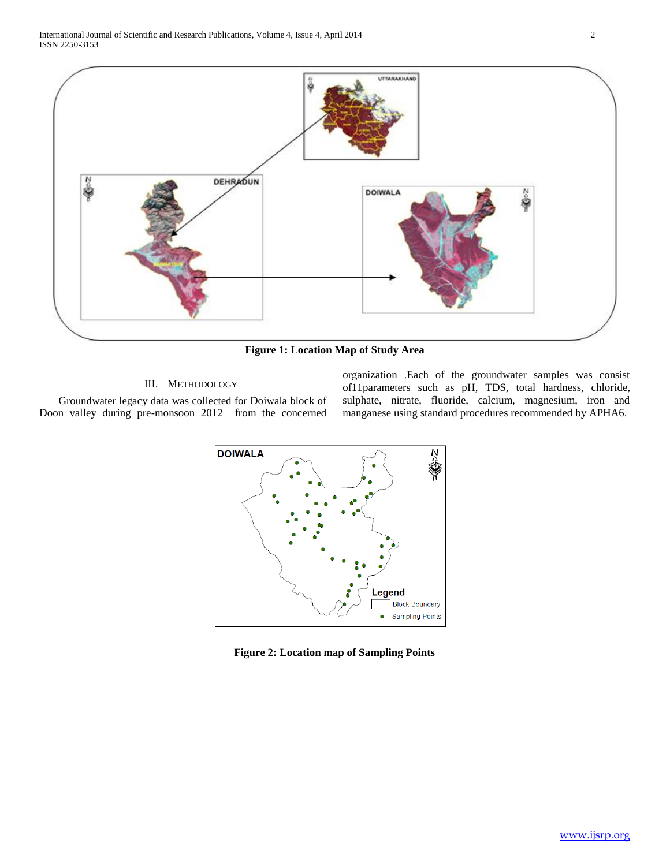

**Figure 1: Location Map of Study Area**

#### III. METHODOLOGY

 Groundwater legacy data was collected for Doiwala block of Doon valley during pre-monsoon 2012 from the concerned organization .Each of the groundwater samples was consist of11parameters such as pH, TDS, total hardness, chloride, sulphate, nitrate, fluoride, calcium, magnesium, iron and manganese using standard procedures recommended by APHA6.



**Figure 2: Location map of Sampling Points**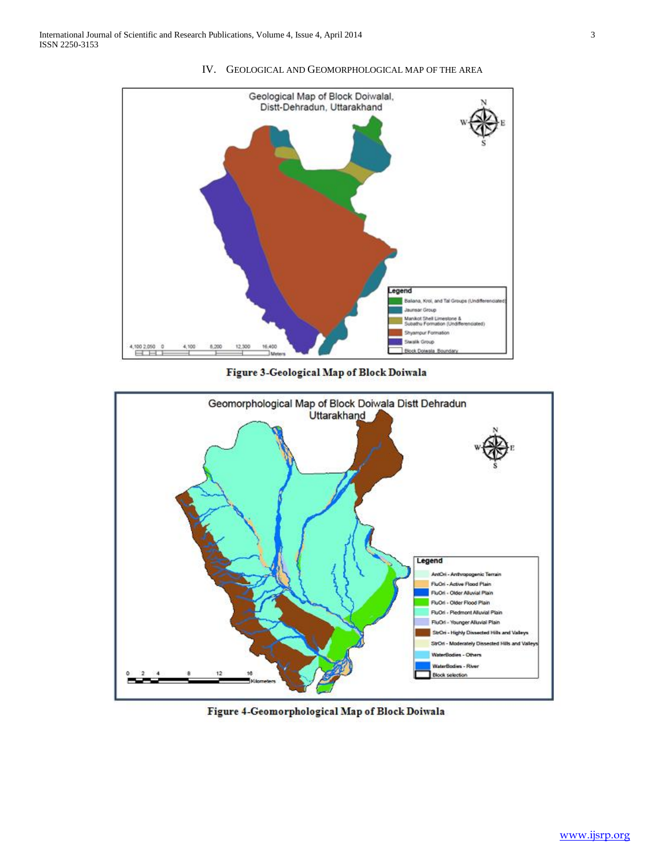

IV. GEOLOGICAL AND GEOMORPHOLOGICAL MAP OF THE AREA

Figure 3-Geological Map of Block Doiwala



Figure 4-Geomorphological Map of Block Doiwala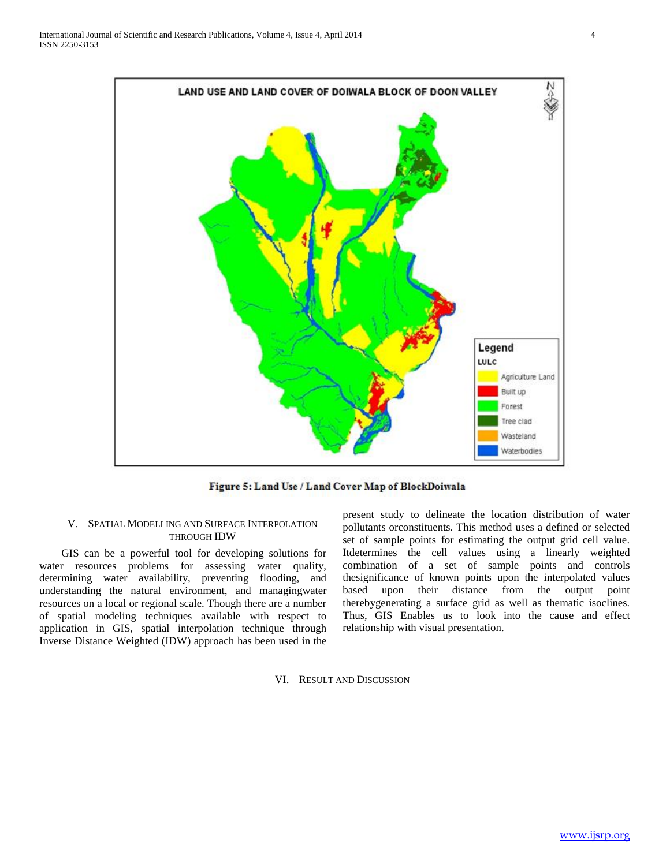

Figure 5: Land Use / Land Cover Map of BlockDoiwala

## V. SPATIAL MODELLING AND SURFACE INTERPOLATION THROUGH IDW

 GIS can be a powerful tool for developing solutions for water resources problems for assessing water quality, determining water availability, preventing flooding, and understanding the natural environment, and managingwater resources on a local or regional scale. Though there are a number of spatial modeling techniques available with respect to application in GIS, spatial interpolation technique through Inverse Distance Weighted (IDW) approach has been used in the

present study to delineate the location distribution of water pollutants orconstituents. This method uses a defined or selected set of sample points for estimating the output grid cell value. Itdetermines the cell values using a linearly weighted combination of a set of sample points and controls thesignificance of known points upon the interpolated values based upon their distance from the output point therebygenerating a surface grid as well as thematic isoclines. Thus, GIS Enables us to look into the cause and effect relationship with visual presentation.

VI. RESULT AND DISCUSSION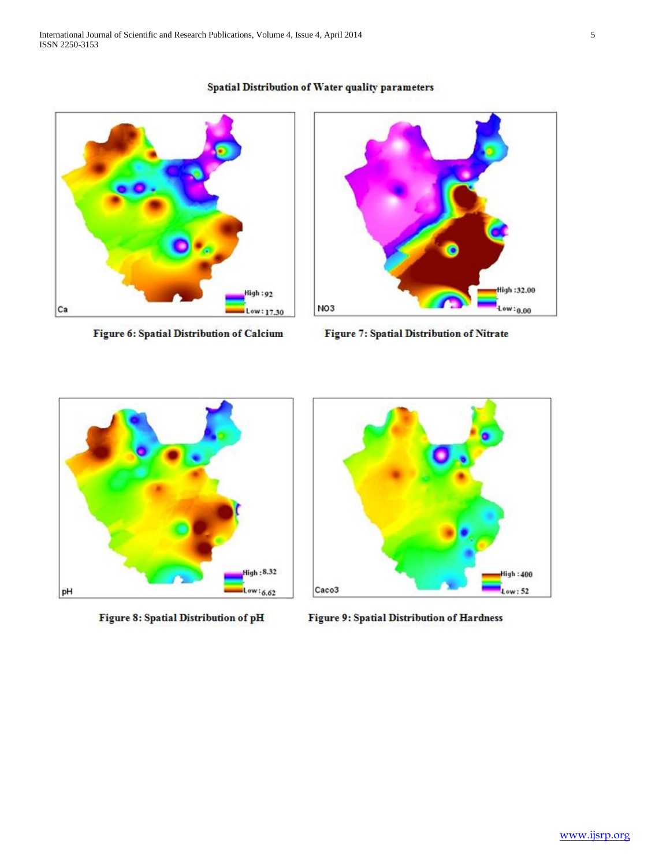# Spatial Distribution of Water quality parameters



Figure 6: Spatial Distribution of Calcium



Figure 7: Spatial Distribution of Nitrate



Figure 8: Spatial Distribution of pH



Figure 9: Spatial Distribution of Hardness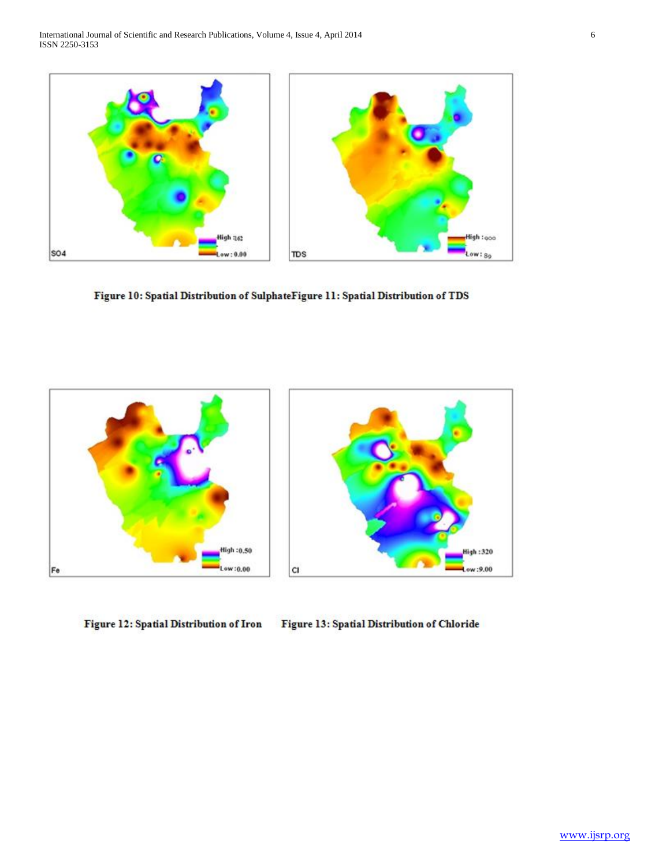

Figure 10: Spatial Distribution of SulphateFigure 11: Spatial Distribution of TDS



Figure 12: Spatial Distribution of Iron Figure 13: Spatial Distribution of Chloride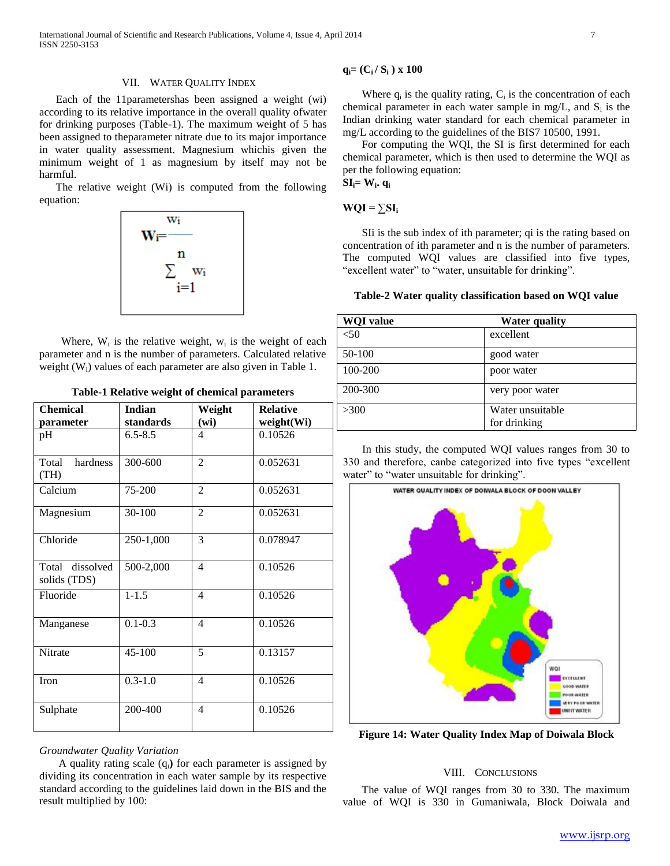International Journal of Scientific and Research Publications, Volume 4, Issue 4, April 2014 7 ISSN 2250-3153

#### VII. WATER QUALITY INDEX

 Each of the 11parametershas been assigned a weight (wi) according to its relative importance in the overall quality ofwater for drinking purposes (Table-1). The maximum weight of 5 has been assigned to theparameter nitrate due to its major importance in water quality assessment. Magnesium whichis given the minimum weight of 1 as magnesium by itself may not be harmful.

 The relative weight (Wi) is computed from the following equation:



Where,  $W_i$  is the relative weight,  $W_i$  is the weight of each parameter and n is the number of parameters. Calculated relative weight (W<sub>i</sub>) values of each parameter are also given in Table 1.

|  |  |  |  | Table-1 Relative weight of chemical parameters |
|--|--|--|--|------------------------------------------------|
|--|--|--|--|------------------------------------------------|

| <b>Chemical</b>                 | Indian      | Weight         | <b>Relative</b> |  |
|---------------------------------|-------------|----------------|-----------------|--|
| parameter                       | standards   | (wi)           | weight(Wi)      |  |
| pH                              | $6.5 - 8.5$ | 4              | 0.10526         |  |
| Total<br>hardness<br>(TH)       | 300-600     | $\overline{2}$ | 0.052631        |  |
| Calcium                         | 75-200      | $\overline{2}$ | 0.052631        |  |
| Magnesium                       | 30-100      | $\overline{2}$ | 0.052631        |  |
| Chloride                        | 250-1,000   | 3              | 0.078947        |  |
| Total dissolved<br>solids (TDS) | 500-2,000   | $\overline{4}$ | 0.10526         |  |
| Fluoride                        | $1 - 1.5$   | $\overline{4}$ | 0.10526         |  |
| Manganese                       | $0.1 - 0.3$ | 4              | 0.10526         |  |
| Nitrate                         | 45-100      | 5              | 0.13157         |  |
| Iron                            | $0.3 - 1.0$ | 4              | 0.10526         |  |
| Sulphate                        | 200-400     | 4              | 0.10526         |  |

### *Groundwater Quality Variation*

 A quality rating scale (qi**)** for each parameter is assigned by dividing its concentration in each water sample by its respective standard according to the guidelines laid down in the BIS and the result multiplied by 100:

## **qi= (Ci / S<sup>i</sup> ) x 100**

Where  $q_i$  is the quality rating,  $C_i$  is the concentration of each chemical parameter in each water sample in mg/L, and  $S_i$  is the Indian drinking water standard for each chemical parameter in mg/L according to the guidelines of the BIS7 10500, 1991.

 For computing the WQI, the SI is first determined for each chemical parameter, which is then used to determine the WQI as per the following equation:  $\mathbf{SI}_{i} = \mathbf{W}_{i}$ **.**  $\mathbf{q}_{i}$ 

#### $WQI = \sum SI_i$

 SIi is the sub index of ith parameter; qi is the rating based on concentration of ith parameter and n is the number of parameters. The computed WQI values are classified into five types, "excellent water" to "water, unsuitable for drinking".

**Table-2 Water quality classification based on WQI value**

| <b>WQI</b> value | <b>Water quality</b>             |
|------------------|----------------------------------|
| < 50             | excellent                        |
| 50-100           | good water                       |
| 100-200          | poor water                       |
| 200-300          | very poor water                  |
| >300             | Water unsuitable<br>for drinking |

 In this study, the computed WQI values ranges from 30 to 330 and therefore, canbe categorized into five types "excellent water" to "water unsuitable for drinking".



**Figure 14: Water Quality Index Map of Doiwala Block**

#### VIII. CONCLUSIONS

 The value of WQI ranges from 30 to 330. The maximum value of WQI is 330 in Gumaniwala, Block Doiwala and